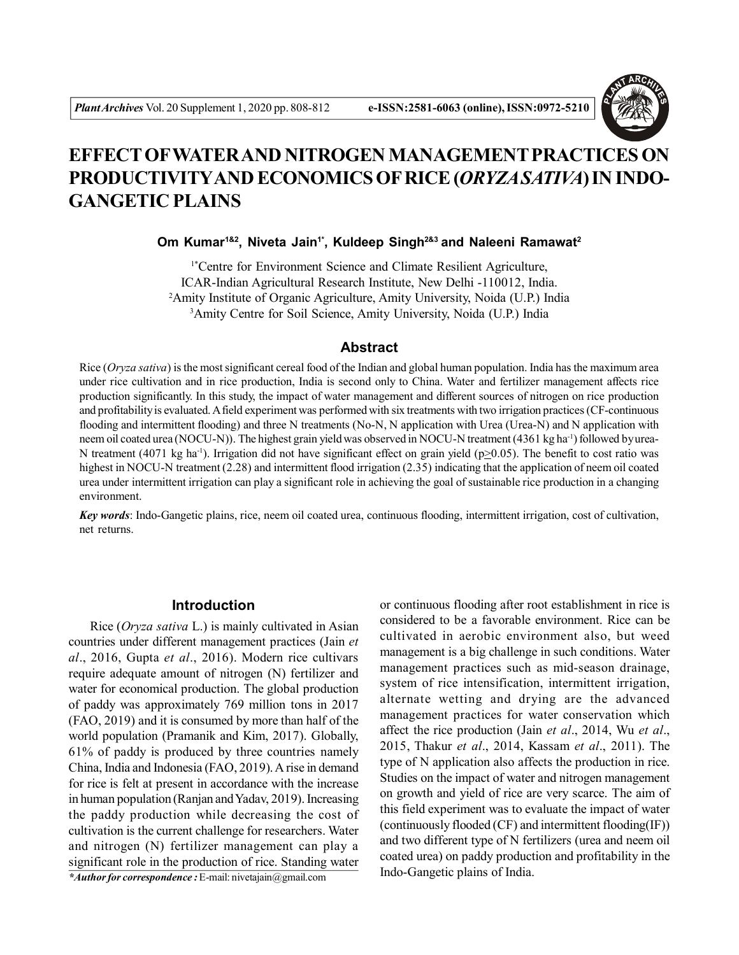

# **EFFECT OFWATER AND NITROGEN MANAGEMENT PRACTICES ON PRODUCTIVITYAND ECONOMICS OF RICE (***ORYZA SATIVA***) IN INDO-GANGETIC PLAINS**

## **Om Kumar1&2, Niveta Jain1\*, Kuldeep Singh2&3 and Naleeni Ramawat<sup>2</sup>**

1\*Centre for Environment Science and Climate Resilient Agriculture, ICAR-Indian Agricultural Research Institute, New Delhi -110012, India. <sup>2</sup>Amity Institute of Organic Agriculture, Amity University, Noida (U.P.) India <sup>3</sup>Amity Centre for Soil Science, Amity University, Noida (U.P.) India

## **Abstract**

Rice (*Oryza sativa*) is the most significant cereal food of the Indian and global human population. India has the maximum area under rice cultivation and in rice production, India is second only to China. Water and fertilizer management affects rice production significantly. In this study, the impact of water management and different sources of nitrogen on rice production and profitability is evaluated. A field experiment was performed with six treatments with two irrigation practices (CF-continuous flooding and intermittent flooding) and three N treatments (No-N, N application with Urea (Urea-N) and N application with neem oil coated urea (NOCU-N)). The highest grain yield was observed in NOCU-N treatment (4361 kg ha<sup>-1</sup>) followed by urea-N treatment (4071 kg ha<sup>-1</sup>). Irrigation did not have significant effect on grain yield (p $\geq$ 0.05). The benefit to cost ratio was highest in NOCU-N treatment (2.28) and intermittent flood irrigation (2.35) indicating that the application of neem oil coated urea under intermittent irrigation can play a significant role in achieving the goal of sustainable rice production in a changing environment.

*Key words*: Indo-Gangetic plains, rice, neem oil coated urea, continuous flooding, intermittent irrigation, cost of cultivation, net returns.

## **Introduction**

Rice (*Oryza sativa* L.) is mainly cultivated in Asian countries under different management practices (Jain *et al*., 2016, Gupta *et al*., 2016). Modern rice cultivars require adequate amount of nitrogen (N) fertilizer and water for economical production. The global production of paddy was approximately 769 million tons in 2017 (FAO, 2019) and it is consumed by more than half of the world population (Pramanik and Kim, 2017). Globally, 61% of paddy is produced by three countries namely China, India and Indonesia (FAO, 2019). A rise in demand for rice is felt at present in accordance with the increase in human population (Ranjan and Yadav, 2019). Increasing the paddy production while decreasing the cost of cultivation is the current challenge for researchers. Water and nitrogen (N) fertilizer management can play a significant role in the production of rice. Standing water

*\*Author for correspondence :* E-mail: nivetajain@gmail.com

or continuous flooding after root establishment in rice is considered to be a favorable environment. Rice can be cultivated in aerobic environment also, but weed management is a big challenge in such conditions. Water management practices such as mid-season drainage, system of rice intensification, intermittent irrigation, alternate wetting and drying are the advanced management practices for water conservation which affect the rice production (Jain *et al*., 2014, Wu *et al*., 2015, Thakur *et al*., 2014, Kassam *et al*., 2011). The type of N application also affects the production in rice. Studies on the impact of water and nitrogen management on growth and yield of rice are very scarce. The aim of this field experiment was to evaluate the impact of water (continuously flooded (CF) and intermittent flooding(IF)) and two different type of N fertilizers (urea and neem oil coated urea) on paddy production and profitability in the Indo-Gangetic plains of India.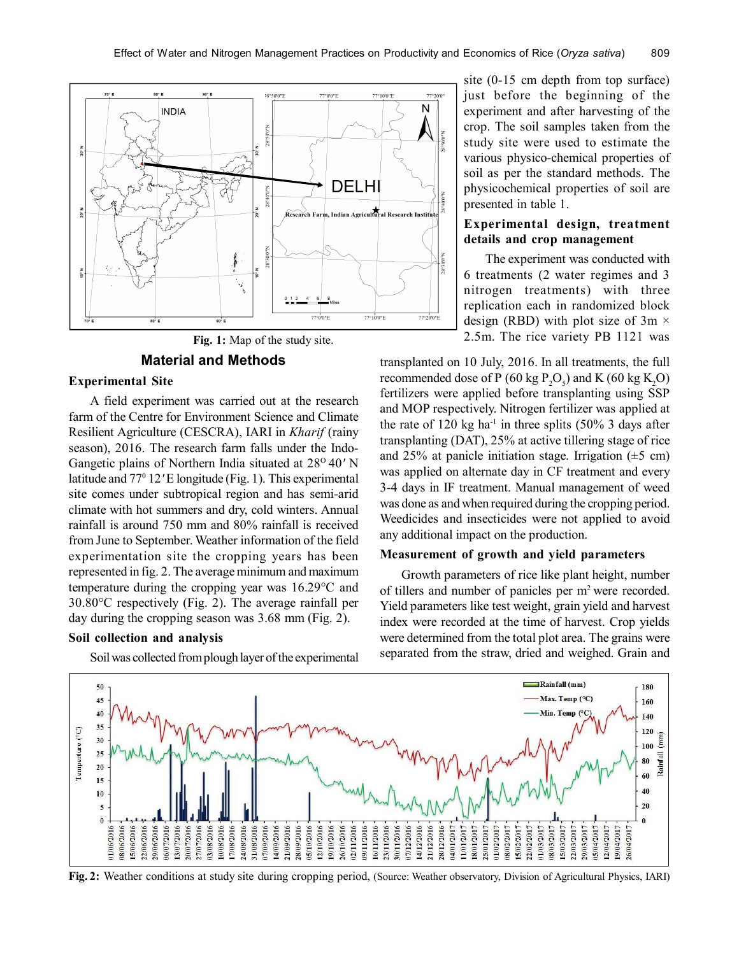

**Fig. 1:** Map of the study site.

## **Material and Methods**

### **Experimental Site**

A field experiment was carried out at the research farm of the Centre for Environment Science and Climate Resilient Agriculture (CESCRA), IARI in *Kharif* (rainy season), 2016. The research farm falls under the Indo-Gangetic plains of Northern India situated at 28<sup>o</sup> 40' N latitude and 77<sup>°</sup> 12' E longitude (Fig. 1). This experimental site comes under subtropical region and has semi-arid climate with hot summers and dry, cold winters. Annual rainfall is around 750 mm and 80% rainfall is received from June to September. Weather information of the field experimentation site the cropping years has been represented in fig. 2. The average minimum and maximum temperature during the cropping year was 16.29°C and 30.80°C respectively (Fig. 2). The average rainfall per day during the cropping season was 3.68 mm (Fig. 2).

### **Soil collection and analysis**

Soil was collected from plough layer of the experimental

site (0-15 cm depth from top surface) just before the beginning of the experiment and after harvesting of the crop. The soil samples taken from the study site were used to estimate the various physico-chemical properties of soil as per the standard methods. The physicochemical properties of soil are presented in table 1.

## **Experimental design, treatment details and crop management**

The experiment was conducted with 6 treatments (2 water regimes and 3 nitrogen treatments) with three replication each in randomized block design (RBD) with plot size of  $3m \times$ 2.5m. The rice variety PB 1121 was

transplanted on 10 July, 2016. In all treatments, the full recommended dose of P (60 kg  $P_2O_5$ ) and K (60 kg K<sub>2</sub>O) fertilizers were applied before transplanting using SSP and MOP respectively. Nitrogen fertilizer was applied at the rate of 120 kg ha<sup>-1</sup> in three splits  $(50\% 3 \text{ days after})$ transplanting (DAT), 25% at active tillering stage of rice and 25% at panicle initiation stage. Irrigation  $(\pm 5 \text{ cm})$ was applied on alternate day in CF treatment and every 3-4 days in IF treatment. Manual management of weed was done as and when required during the cropping period. Weedicides and insecticides were not applied to avoid any additional impact on the production.

## **Measurement of growth and yield parameters**

Growth parameters of rice like plant height, number of tillers and number of panicles per m<sup>2</sup>were recorded. Yield parameters like test weight, grain yield and harvest index were recorded at the time of harvest. Crop yields were determined from the total plot area. The grains were separated from the straw, dried and weighed. Grain and



**Fig. 2:** Weather conditions at study site during cropping period, (Source: Weather observatory, Division of Agricultural Physics, IARI)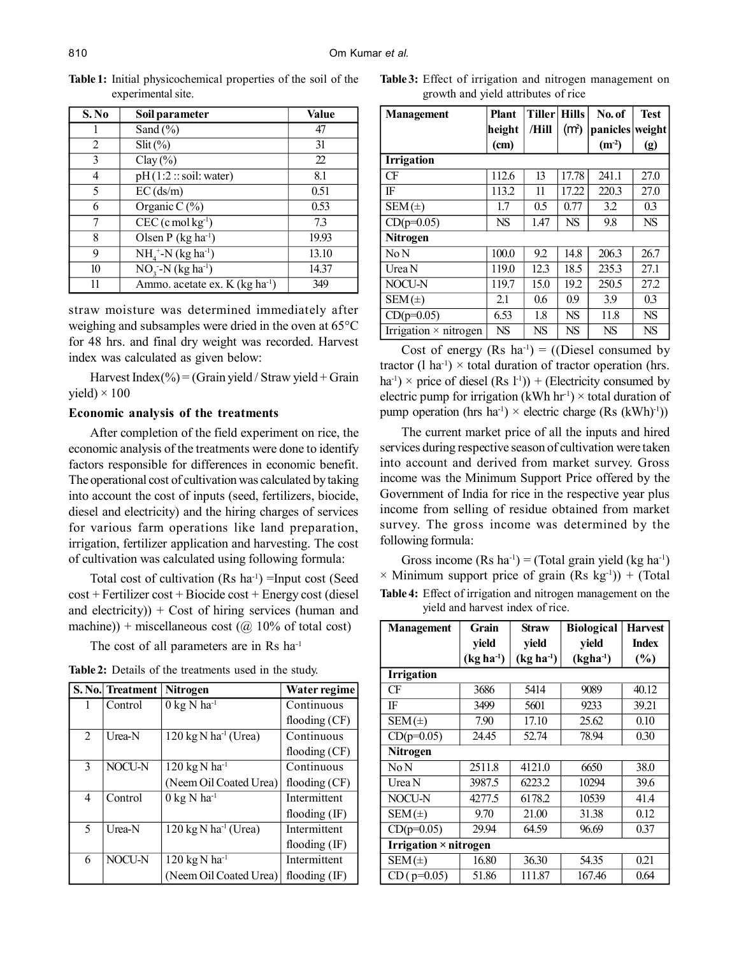| S.No | Soil parameter                              | <b>Value</b> |
|------|---------------------------------------------|--------------|
|      | Sand $(\% )$                                | 47           |
| 2    | $Slit$ (%)                                  | 31           |
| 3    | $Clay(\%)$                                  | 22           |
| 4    | pH(1:2::soil:water)                         | 8.1          |
| 5    | $EC$ (ds/m)                                 | 0.51         |
| 6    | Organic C $(\%)$                            | 0.53         |
|      | $CEC$ (c mol kg <sup>-1</sup> )             | 73           |
| 8    | Olsen P $(kg ha-1)$                         | 19.93        |
| 9    | $NH_{4}^{+}$ -N (kg ha <sup>-1</sup> )      | 13.10        |
| 10   | $\overline{NO_3}$ -N (kg ha <sup>-1</sup> ) | 14.37        |
| 11   | Ammo. acetate ex. K (kg ha <sup>-1</sup> )  | 349          |

**Table 1:** Initial physicochemical properties of the soil of the experimental site.

straw moisture was determined immediately after weighing and subsamples were dried in the oven at 65°C for 48 hrs. and final dry weight was recorded. Harvest index was calculated as given below:

Harvest Index(%) = (Grain yield / Straw yield + Grain yield)  $\times$  100

#### **Economic analysis of the treatments**

After completion of the field experiment on rice, the economic analysis of the treatments were done to identify factors responsible for differences in economic benefit. The operational cost of cultivation was calculated by taking into account the cost of inputs (seed, fertilizers, biocide, diesel and electricity) and the hiring charges of services for various farm operations like land preparation, irrigation, fertilizer application and harvesting. The cost of cultivation was calculated using following formula:

Total cost of cultivation  $(Rs \text{ ha}^{-1})$  =Input cost (Seed cost + Fertilizer cost + Biocide cost + Energy cost (diesel and electricity)) + Cost of hiring services (human and machine)) + miscellaneous cost ( $\omega$  10% of total cost)

The cost of all parameters are in Rs ha<sup>-1</sup>

**Table 2:** Details of the treatments used in the study.

|                          | S. No. Treatment | <b>Nitrogen</b>                            | Water regime    |
|--------------------------|------------------|--------------------------------------------|-----------------|
| 1                        | Control          | $0 \text{ kg}$ N ha <sup>-1</sup>          | Continuous      |
|                          |                  |                                            | flooding $(CF)$ |
| 2                        | Urea-N           | $120 \text{ kg N}$ ha <sup>-1</sup> (Urea) | Continuous      |
|                          |                  |                                            | flooding $(CF)$ |
| $\overline{\mathcal{E}}$ | NOCU-N           | $120$ kg N ha <sup>-1</sup>                | Continuous      |
|                          |                  | (Neem Oil Coated Urea)                     | flooding $(CF)$ |
| 4                        | Control          | $0$ kg N ha <sup>-1</sup>                  | Intermittent    |
|                          |                  |                                            | flooding $(IF)$ |
| 5                        | Urea-N           | $120 \text{ kg N} \text{ ha}^{-1}$ (Urea)  | Intermittent    |
|                          |                  |                                            | flooding $(IF)$ |
| 6                        | NOCU-N           | $120$ kg N ha <sup>-1</sup>                | Intermittent    |
|                          |                  | (Neem Oil Coated Urea)                     | flooding $(IF)$ |

**Table 3:** Effect of irrigation and nitrogen management on growth and yield attributes of rice

| <b>Management</b>            | <b>Plant</b> | Tiller Hills |                   | No. of    | <b>Test</b> |
|------------------------------|--------------|--------------|-------------------|-----------|-------------|
|                              | height       | /Hill        | (m <sub>1</sub> ) | panicles  | weight      |
|                              | (cm)         |              |                   | $(m-2)$   | (g)         |
| <b>Irrigation</b>            |              |              |                   |           |             |
| CF                           | 112.6        | 13           | 17.78             | 241.1     | 27.0        |
| IF                           | 113.2        | 11           | 17.22             | 220.3     | 27.0        |
| $SEM(\pm)$                   | 1.7          | 0.5          | 0.77              | 3.2       | 0.3         |
| $CD(p=0.05)$                 | <b>NS</b>    | 1.47         | <b>NS</b>         | 9.8       | <b>NS</b>   |
| <b>Nitrogen</b>              |              |              |                   |           |             |
| No N                         | 100.0        | 9.2          | 14.8              | 206.3     | 26.7        |
| Urea N                       | 119.0        | 12.3         | 18.5              | 235.3     | 27.1        |
| <b>NOCU-N</b>                | 119.7        | 15.0         | 19.2              | 250.5     | 27.2        |
| $SEM(\pm)$                   | 2.1          | 0.6          | 0.9               | 3.9       | 0.3         |
| $CD(p=0.05)$                 | 6.53         | 1.8          | <b>NS</b>         | 11.8      | <b>NS</b>   |
| Irrigation $\times$ nitrogen | NS           | NS           | NS                | <b>NS</b> | NS          |

Cost of energy  $(Rs \ ha^{-1}) = ((Diesel \ consumed \ by$ tractor (1 ha<sup>-1</sup>)  $\times$  total duration of tractor operation (hrs.  $ha^{-1}$ ) × price of diesel (Rs l<sup>-1</sup>)) + (Electricity consumed by electric pump for irrigation (kWh hr<sup>-1</sup>)  $\times$  total duration of pump operation (hrs ha<sup>-1</sup>)  $\times$  electric charge (Rs (kWh)<sup>-1</sup>))

The current market price of all the inputs and hired services during respective season of cultivation were taken into account and derived from market survey. Gross income was the Minimum Support Price offered by the Government of India for rice in the respective year plus income from selling of residue obtained from market survey. The gross income was determined by the following formula:

Gross income  $(Rs \text{ ha}^{-1}) = (Total grain yield (kg \text{ ha}^{-1}))$  $\times$  Minimum support price of grain (Rs kg<sup>-1</sup>)) + (Total **Table 4:** Effect of irrigation and nitrogen management on the yield and harvest index of rice.

| <b>Management</b>                   | Grain       | <b>Straw</b> | <b>Biological</b> | <b>Harvest</b> |  |
|-------------------------------------|-------------|--------------|-------------------|----------------|--|
|                                     | yield       | yield        | yield             | <b>Index</b>   |  |
|                                     | $(kg ha-1)$ | $(kg ha-1)$  | $(kgha^{-1})$     | (%)            |  |
| <b>Irrigation</b>                   |             |              |                   |                |  |
| CF                                  | 3686        | 5414         | 9089              | 40.12          |  |
| IF                                  | 3499        | 5601         | 9233              | 39.21          |  |
| $SEM(\pm)$                          | 7.90        | 17.10        | 25.62             | 0.10           |  |
| $CD(p=0.05)$                        | 24.45       | 52.74        | 78.94             | 0.30           |  |
| Nitrogen                            |             |              |                   |                |  |
| No N                                | 2511.8      | 4121.0       | 6650              | 38.0           |  |
| Urea N                              | 3987.5      | 6223.2       | 10294             | 39.6           |  |
| NOCU-N                              | 4277.5      | 6178.2       | 10539             | 41.4           |  |
| $SEM(\pm)$                          | 9.70        | 21.00        | 31.38             | 0.12           |  |
| $CD(p=0.05)$                        | 29.94       | 64.59        | 96.69             | 0.37           |  |
| <b>Irrigation</b> $\times$ nitrogen |             |              |                   |                |  |
| $SEM(\pm)$                          | 16.80       | 36.30        | 54.35             | 0.21           |  |
| $CD$ ( $p=0.05$ )                   | 51.86       | 111.87       | 167.46            | 0.64           |  |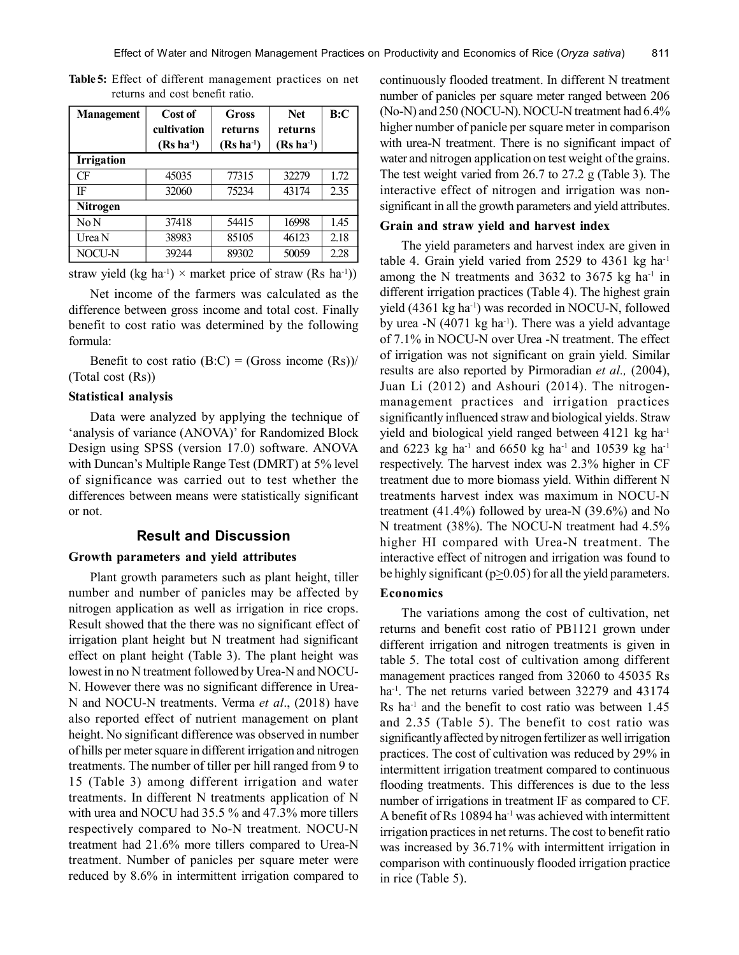| <b>Management</b> | Cost of<br>cultivation<br>$(Rs ha-1)$ | Gross<br>returns<br>$(Rs ha-1)$ | <b>Net</b><br>returns<br>$(Rs ha-1)$ | B:C  |  |
|-------------------|---------------------------------------|---------------------------------|--------------------------------------|------|--|
| <b>Irrigation</b> |                                       |                                 |                                      |      |  |
| CF                | 45035                                 | 77315                           | 32279                                | 1.72 |  |
| IF                | 32060                                 | 75234                           | 43174                                | 2.35 |  |
| <b>Nitrogen</b>   |                                       |                                 |                                      |      |  |
| No N              | 37418                                 | 54415                           | 16998                                | 1.45 |  |
| Urea N            | 38983                                 | 85105                           | 46123                                | 2.18 |  |
| NOCU-N            | 39244                                 | 89302                           | 50059                                | 2.28 |  |

**Table 5:** Effect of different management practices on net returns and cost benefit ratio.

straw yield (kg ha<sup>-1</sup>) × market price of straw (Rs ha<sup>-1</sup>))

Net income of the farmers was calculated as the difference between gross income and total cost. Finally benefit to cost ratio was determined by the following formula:

Benefit to cost ratio  $(B:C) = (Gross income (Rs))$ (Total cost (Rs))

#### **Statistical analysis**

Data were analyzed by applying the technique of 'analysis of variance (ANOVA)' for Randomized Block Design using SPSS (version 17.0) software. ANOVA with Duncan's Multiple Range Test (DMRT) at 5% level of significance was carried out to test whether the differences between means were statistically significant or not.

## **Result and Discussion**

## **Growth parameters and yield attributes**

Plant growth parameters such as plant height, tiller number and number of panicles may be affected by nitrogen application as well as irrigation in rice crops. Result showed that the there was no significant effect of irrigation plant height but N treatment had significant effect on plant height (Table 3). The plant height was lowest in no N treatment followed by Urea-N and NOCU-N. However there was no significant difference in Urea-N and NOCU-N treatments. Verma *et al*., (2018) have also reported effect of nutrient management on plant height. No significant difference was observed in number of hills per meter square in different irrigation and nitrogen treatments. The number of tiller per hill ranged from 9 to 15 (Table 3) among different irrigation and water treatments. In different N treatments application of N with urea and NOCU had 35.5 % and 47.3% more tillers respectively compared to No-N treatment. NOCU-N treatment had 21.6% more tillers compared to Urea-N treatment. Number of panicles per square meter were reduced by 8.6% in intermittent irrigation compared to

continuously flooded treatment. In different N treatment number of panicles per square meter ranged between 206 (No-N) and 250 (NOCU-N). NOCU-N treatment had 6.4% higher number of panicle per square meter in comparison with urea-N treatment. There is no significant impact of water and nitrogen application on test weight of the grains. The test weight varied from 26.7 to 27.2 g (Table 3). The interactive effect of nitrogen and irrigation was nonsignificant in all the growth parameters and yield attributes.

## **Grain and straw yield and harvest index**

The yield parameters and harvest index are given in table 4. Grain yield varied from  $2529$  to  $4361$  kg ha<sup>-1</sup> among the N treatments and  $3632$  to  $3675$  kg ha<sup>-1</sup> in different irrigation practices (Table 4). The highest grain yield (4361 kg ha<sup>-1</sup>) was recorded in NOCU-N, followed by urea  $-$ N (4071 kg ha<sup>-1</sup>). There was a yield advantage of 7.1% in NOCU-N over Urea -N treatment. The effect of irrigation was not significant on grain yield. Similar results are also reported by Pirmoradian *et al.,* (2004), Juan Li (2012) and Ashouri (2014). The nitrogenmanagement practices and irrigation practices significantly influenced straw and biological yields. Straw yield and biological yield ranged between 4121 kg ha<sup>-1</sup> and 6223 kg ha<sup>-1</sup> and 6650 kg ha<sup>-1</sup> and 10539 kg ha<sup>-1</sup> respectively. The harvest index was 2.3% higher in CF treatment due to more biomass yield. Within different N treatments harvest index was maximum in NOCU-N treatment (41.4%) followed by urea-N (39.6%) and No N treatment (38%). The NOCU-N treatment had 4.5% higher HI compared with Urea-N treatment. The interactive effect of nitrogen and irrigation was found to be highly significant ( $p \ge 0.05$ ) for all the yield parameters.

## **Economics**

The variations among the cost of cultivation, net returns and benefit cost ratio of PB1121 grown under different irrigation and nitrogen treatments is given in table 5. The total cost of cultivation among different management practices ranged from 32060 to 45035 Rs ha<sup>-1</sup>. The net returns varied between 32279 and 43174 Rs ha-1 and the benefit to cost ratio was between 1.45 and 2.35 (Table 5). The benefit to cost ratio was significantly affected by nitrogen fertilizer as well irrigation practices. The cost of cultivation was reduced by 29% in intermittent irrigation treatment compared to continuous flooding treatments. This differences is due to the less number of irrigations in treatment IF as compared to CF. A benefit of Rs 10894 ha<sup>-1</sup> was achieved with intermittent irrigation practices in net returns. The cost to benefit ratio was increased by 36.71% with intermittent irrigation in comparison with continuously flooded irrigation practice in rice (Table 5).